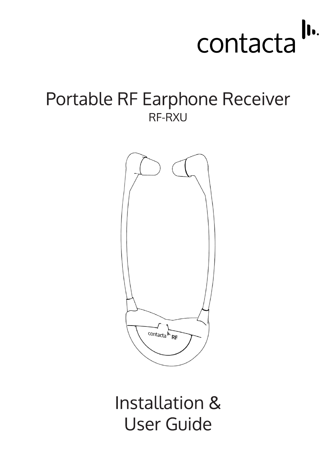

# Portable RF Earphone Receiver RF-RXU



Installation & **User Guide**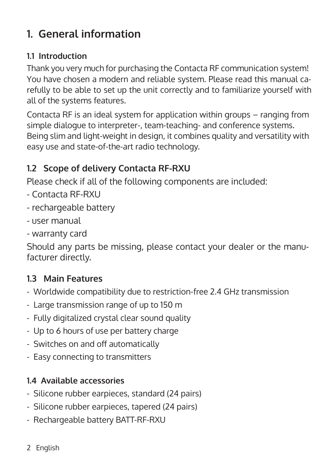## **1. General information**

## **1.1 Introduction**

Thank you very much for purchasing the Contacta RF communication system! You have chosen a modern and reliable system. Please read this manual carefully to be able to set up the unit correctly and to familiarize yourself with all of the systems features.

Contacta RF is an ideal system for application within groups – ranging from simple dialogue to interpreter-, team-teaching- and conference systems. Being slim and light-weight in design, it combines quality and versatility with easy use and state-of-the-art radio technology.

## **1.2 Scope of delivery Contacta RF-RXU**

Please check if all of the following components are included:

- Contacta RF-RXU
- rechargeable battery
- user manual
- warranty card

Should any parts be missing, please contact your dealer or the manufacturer directly.

## **1.3 Main Features**

- Worldwide compatibility due to restriction-free 2.4 GHz transmission
- Large transmission range of up to 150 m
- Fully digitalized crystal clear sound quality
- Up to 6 hours of use per battery charge
- Switches on and off automatically
- Easy connecting to transmitters

## **1.4 Available accessories**

- Silicone rubber earpieces, standard (24 pairs)
- Silicone rubber earpieces, tapered (24 pairs)
- Rechargeable battery BATT-RF-RXU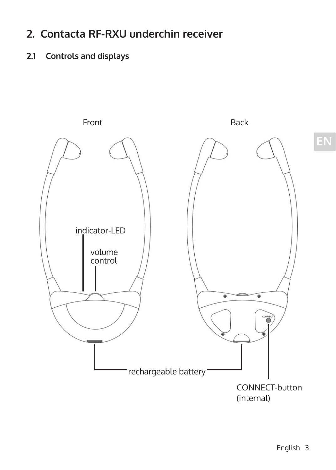## **2. Contacta RF-RXU underchin receiver**

## **2.1 Controls and displays**

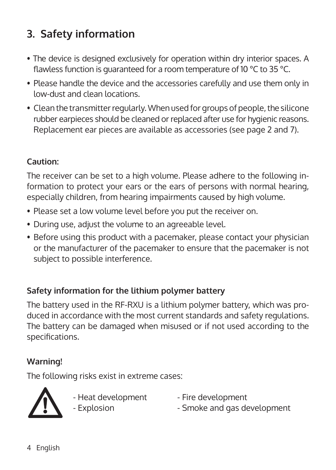## **3. Safety information**

- The device is designed exclusively for operation within dry interior spaces. A flawless function is guaranteed for a room temperature of 10 °C to 35 °C.
- Please handle the device and the accessories carefully and use them only in low-dust and clean locations.
- Clean the transmitter regularly. When used for groups of people, the silicone rubber earpieces should be cleaned or replaced after use for hygienic reasons. Replacement ear pieces are available as accessories (see page 2 and 7).

### **Caution:**

The receiver can be set to a high volume. Please adhere to the following information to protect your ears or the ears of persons with normal hearing, especially children, from hearing impairments caused by high volume.

- Please set a low volume level before you put the receiver on.
- During use, adjust the volume to an agreeable level.
- Before using this product with a pacemaker, please contact your physician or the manufacturer of the pacemaker to ensure that the pacemaker is not subject to possible interference.

### **Safety information for the lithium polymer battery**

The battery used in the RF-RXU is a lithium polymer battery, which was produced in accordance with the most current standards and safety regulations. The battery can be damaged when misused or if not used according to the specifications.

### **Warning!**

The following risks exist in extreme cases:



- Heat development Fire development<br>- Explosion Smoke and gas de
- 

- Smoke and gas development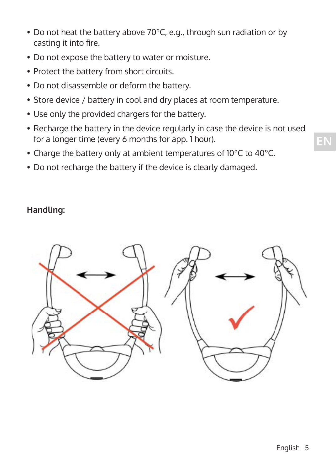- Do not heat the battery above 70°C, e.g., through sun radiation or by casting it into fire.
- Do not expose the battery to water or moisture.
- Protect the battery from short circuits.
- Do not disassemble or deform the battery.
- Store device / battery in cool and dry places at room temperature.
- Use only the provided chargers for the battery.
- Recharge the battery in the device regularly in case the device is not used for a longer time (every 6 months for app. 1 hour).
- Charge the battery only at ambient temperatures of 10°C to 40°C.
- Do not recharge the battery if the device is clearly damaged.

#### **Handling:**

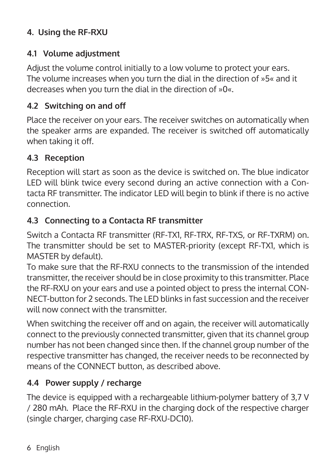## **4. Using the RF-RXU**

### **4.1 Volume adjustment**

Adjust the volume control initially to a low volume to protect your ears. The volume increases when you turn the dial in the direction of »5« and it decreases when you turn the dial in the direction of »0«.

### **4.2 Switching on and off**

Place the receiver on your ears. The receiver switches on automatically when the speaker arms are expanded. The receiver is switched off automatically when taking it off.

### **4.3 Reception**

Reception will start as soon as the device is switched on. The blue indicator LED will blink twice every second during an active connection with a Contacta RF transmitter. The indicator LED will begin to blink if there is no active connection.

### **4.3 Connecting to a Contacta RF transmitter**

Switch a Contacta RF transmitter (RF-TX1, RF-TRX, RF-TXS, or RF-TXRM) on. The transmitter should be set to MASTER-priority (except RF-TX1, which is MASTER by default).

To make sure that the RF-RXU connects to the transmission of the intended transmitter, the receiver should be in close proximity to this transmitter. Place the RF-RXU on your ears and use a pointed object to press the internal CON-NECT-button for 2 seconds. The LED blinks in fast succession and the receiver will now connect with the transmitter

When switching the receiver off and on again, the receiver will automatically connect to the previously connected transmitter, given that its channel group number has not been changed since then. If the channel group number of the respective transmitter has changed, the receiver needs to be reconnected by means of the CONNECT button, as described above.

### **4.4 Power supply / recharge**

The device is equipped with a rechargeable lithium-polymer battery of 3,7 V / 280 mAh. Place the RF-RXU in the charging dock of the respective charger (single charger, charging case RF-RXU-DC10).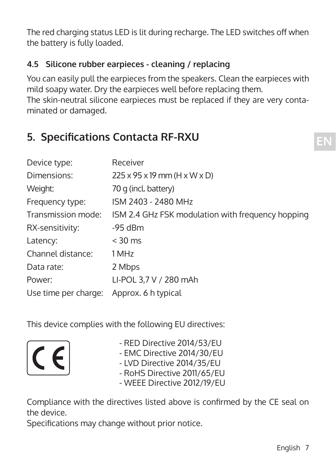The red charging status LED is lit during recharge. The LED switches off when the battery is fully loaded.

## **4.5 Silicone rubber earpieces - cleaning / replacing**

You can easily pull the earpieces from the speakers. Clean the earpieces with mild soapy water. Dry the earpieces well before replacing them. The skin-neutral silicone earpieces must be replaced if they are very contaminated or damaged.

## **5. Specifications Contacta RF-RXU**

| Device type:         | Receiver                                               |
|----------------------|--------------------------------------------------------|
| Dimensions:          | $225 \times 95 \times 19$ mm (H $\times$ W $\times$ D) |
| Weight:              | 70 g (incl. battery)                                   |
| Frequency type:      | ISM 2403 - 2480 MHz                                    |
| Transmission mode:   | ISM 2.4 GHz FSK modulation with frequency hopping      |
| RX-sensitivity:      | $-95$ dBm                                              |
| Latency:             | $<$ 30 ms                                              |
| Channel distance:    | 1 MHz                                                  |
| Data rate:           | 2 Mbps                                                 |
| Power:               | LI-POL 3,7 V / 280 mAh                                 |
| Use time per charge: | Approx. 6 h typical                                    |

This device complies with the following EU directives:



- RED Directive 2014/53/EU
- EMC Directive 2014/30/EU
- LVD Directive 2014/35/EU
- RoHS Directive 2011/65/EU
- WEEE Directive 2012/19/EU

Compliance with the directives listed above is confirmed by the CE seal on the device.

Specifications may change without prior notice.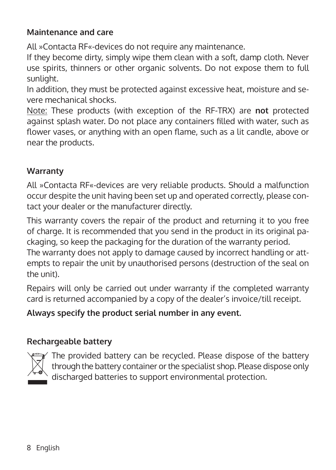### **Maintenance and care**

All »Contacta RF«-devices do not require any maintenance.

If they become dirty, simply wipe them clean with a soft, damp cloth. Never use spirits, thinners or other organic solvents. Do not expose them to full sunlight.

In addition, they must be protected against excessive heat, moisture and severe mechanical shocks.

Note: These products (with exception of the RF-TRX) are **not** protected against splash water. Do not place any containers filled with water, such as flower vases, or anything with an open flame, such as a lit candle, above or near the products.

### **Warranty**

All »Contacta RF«-devices are very reliable products. Should a malfunction occur despite the unit having been set up and operated correctly, please contact your dealer or the manufacturer directly.

This warranty covers the repair of the product and returning it to you free of charge. It is recommended that you send in the product in its original packaging, so keep the packaging for the duration of the warranty period. The warranty does not apply to damage caused by incorrect handling or attempts to repair the unit by unauthorised persons (destruction of the seal on the unit).

Repairs will only be carried out under warranty if the completed warranty card is returned accompanied by a copy of the dealer's invoice/till receipt.

### **Always specify the product serial number in any event.**

### **Rechargeable battery**



The provided battery can be recycled. Please dispose of the battery through the battery container or the specialist shop. Please dispose only discharged batteries to support environmental protection.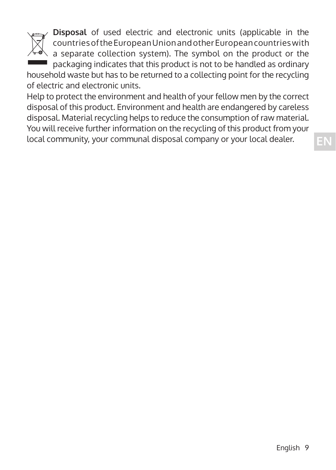

**Disposal** of used electric and electronic units (applicable in the countries of the European Union and other European countries with a separate collection system). The symbol on the product or the  $\blacksquare$  packaging indicates that this product is not to be handled as ordinary household waste but has to be returned to a collecting point for the recycling

of electric and electronic units.

Help to protect the environment and health of your fellow men by the correct disposal of this product. Environment and health are endangered by careless disposal. Material recycling helps to reduce the consumption of raw material. You will receive further information on the recycling of this product from your local community, your communal disposal company or your local dealer.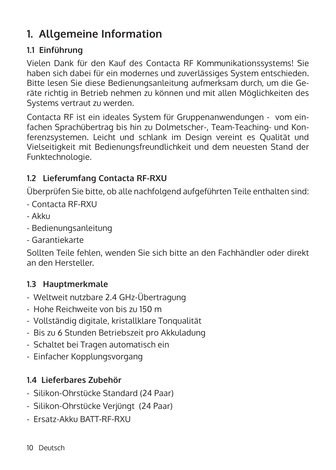## **1. Allgemeine Information**

### **1.1 Einführung**

Vielen Dank für den Kauf des Contacta RF Kommunikationssystems! Sie haben sich dabei für ein modernes und zuverlässiges System entschieden. Bitte lesen Sie diese Bedienungsanleitung aufmerksam durch, um die Geräte richtig in Betrieb nehmen zu können und mit allen Möglichkeiten des Systems vertraut zu werden.

Contacta RF ist ein ideales System für Gruppenanwendungen - vom einfachen Sprachübertrag bis hin zu Dolmetscher-, Team-Teaching- und Konferenzsystemen. Leicht und schlank im Design vereint es Qualität und Vielseitigkeit mit Bedienungsfreundlichkeit und dem neuesten Stand der Funktechnologie.

## **1.2 Lieferumfang Contacta RF-RXU**

Überprüfen Sie bitte, ob alle nachfolgend aufgeführten Teile enthalten sind:

- Contacta RF-RXU
- Akku
- Bedienungsanleitung
- Garantiekarte

Sollten Teile fehlen, wenden Sie sich bitte an den Fachhändler oder direkt an den Hersteller.

## **1.3 Hauptmerkmale**

- Weltweit nutzbare 2.4 GHz-Übertragung
- Hohe Reichweite von bis zu 150 m
- Vollständig digitale, kristallklare Tonqualität
- Bis zu 6 Stunden Betriebszeit pro Akkuladung
- Schaltet bei Tragen automatisch ein
- Einfacher Kopplungsvorgang

## **1.4 Lieferbares Zubehör**

- Silikon-Ohrstücke Standard (24 Paar)
- Silikon-Ohrstücke Verjüngt (24 Paar)
- Ersatz-Akku BATT-RF-RXU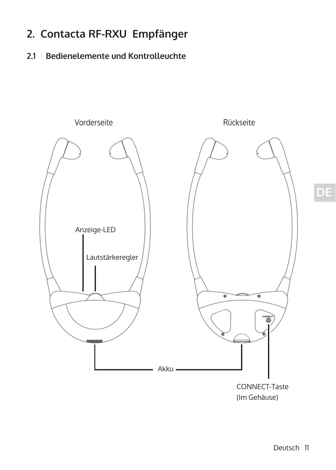## **2. Contacta RF-RXU Empfänger**

## **2.1 Bedienelemente und Kontrolleuchte**

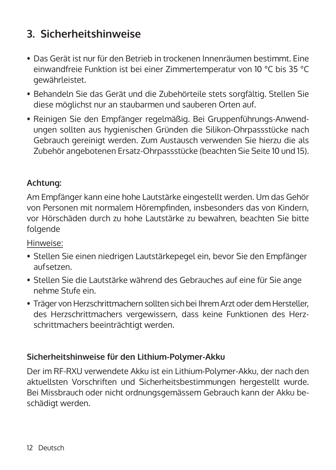## **3. Sicherheitshinweise**

- Das Gerät ist nur für den Betrieb in trockenen Innenräumen bestimmt. Eine einwandfreie Funktion ist bei einer Zimmertemperatur von 10 °C bis 35 °C gewährleistet.
- Behandeln Sie das Gerät und die Zubehörteile stets sorgfältig. Stellen Sie diese möglichst nur an staubarmen und sauberen Orten auf.
- Reinigen Sie den Empfänger regelmäßig. Bei Gruppenführungs-Anwendungen sollten aus hygienischen Gründen die Silikon-Ohrpassstücke nach Gebrauch gereinigt werden. Zum Austausch verwenden Sie hierzu die als Zubehör angebotenen Ersatz-Ohrpassstücke (beachten Sie Seite 10 und 15).

### **Achtung:**

Am Empfänger kann eine hohe Lautstärke eingestellt werden. Um das Gehör von Personen mit normalem Hörempfinden, insbesonders das von Kindern, vor Hörschäden durch zu hohe Lautstärke zu bewahren, beachten Sie bitte folgende

### Hinweise:

- Stellen Sie einen niedrigen Lautstärkepegel ein, bevor Sie den Empfänger aufsetzen.
- Stellen Sie die Lautstärke während des Gebrauches auf eine für Sie ange nehme Stufe ein.
- Träger von Herzschrittmachern sollten sich bei Ihrem Arzt oder dem Hersteller, des Herzschrittmachers vergewissern, dass keine Funktionen des Herzschrittmachers beeinträchtigt werden.

### **Sicherheitshinweise für den Lithium-Polymer-Akku**

Der im RF-RXU verwendete Akku ist ein Lithium-Polymer-Akku, der nach den aktuellsten Vorschriften und Sicherheitsbestimmungen hergestellt wurde. Bei Missbrauch oder nicht ordnungsgemässem Gebrauch kann der Akku beschädigt werden.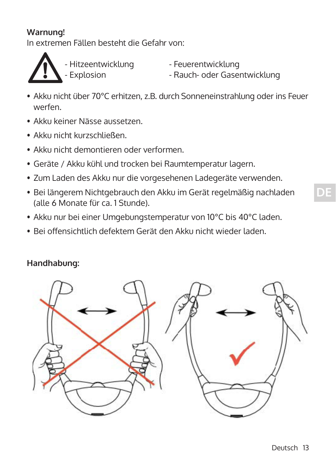### **Warnung!**

In extremen Fällen besteht die Gefahr von:



- Hitzeentwicklung - Feuerentwicklung<br>- Explosion - Rauch- oder Gase

- Rauch- oder Gasentwicklung

- Akku nicht über 70°C erhitzen, z.B. durch Sonneneinstrahlung oder ins Feuer werfen.
- Akku keiner Nässe aussetzen.
- Akku nicht kurzschließen.
- Akku nicht demontieren oder verformen
- Geräte / Akku kühl und trocken bei Raumtemperatur lagern.
- Zum Laden des Akku nur die vorgesehenen Ladegeräte verwenden.
- Bei längerem Nichtgebrauch den Akku im Gerät regelmäßig nachladen (alle 6 Monate für ca. 1 Stunde).
- Akku nur bei einer Umgebungstemperatur von 10°C bis 40°C laden.
- Bei offensichtlich defektem Gerät den Akku nicht wieder laden.

### **Handhabung:**

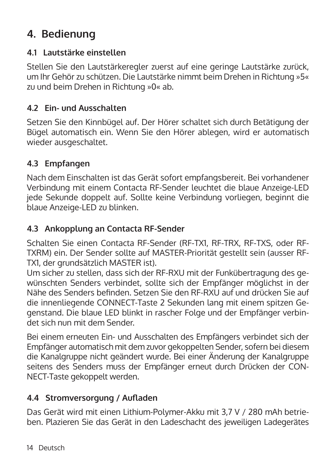## **4. Bedienung**

### **4.1 Lautstärke einstellen**

Stellen Sie den Lautstärkeregler zuerst auf eine geringe Lautstärke zurück, um Ihr Gehör zu schützen. Die Lautstärke nimmt beim Drehen in Richtung »5« zu und beim Drehen in Richtung »0« ab.

### **4.2 Ein- und Ausschalten**

Setzen Sie den Kinnbügel auf. Der Hörer schaltet sich durch Betätigung der Bügel automatisch ein. Wenn Sie den Hörer ablegen, wird er automatisch wieder ausgeschaltet.

### **4.3 Empfangen**

Nach dem Einschalten ist das Gerät sofort empfangsbereit. Bei vorhandener Verbindung mit einem Contacta RF-Sender leuchtet die blaue Anzeige-LED jede Sekunde doppelt auf. Sollte keine Verbindung vorliegen, beginnt die blaue Anzeige-LED zu blinken.

### **4.3 Ankopplung an Contacta RF-Sender**

Schalten Sie einen Contacta RF-Sender (RF-TX1, RF-TRX, RF-TXS, oder RF-TXRM) ein. Der Sender sollte auf MASTER-Priorität gestellt sein (ausser RF-TX1, der grundsätzlich MASTER ist).

Um sicher zu stellen, dass sich der RF-RXU mit der Funkübertragung des gewünschten Senders verbindet, sollte sich der Empfänger möglichst in der Nähe des Senders befinden. Setzen Sie den RF-RXU auf und drücken Sie auf die innenliegende CONNECT-Taste 2 Sekunden lang mit einem spitzen Gegenstand. Die blaue LED blinkt in rascher Folge und der Empfänger verbindet sich nun mit dem Sender.

Bei einem erneuten Ein- und Ausschalten des Empfängers verbindet sich der Empfänger automatisch mit dem zuvor gekoppelten Sender, sofern bei diesem die Kanalgruppe nicht geändert wurde. Bei einer Änderung der Kanalgruppe seitens des Senders muss der Empfänger erneut durch Drücken der CON-NECT-Taste gekoppelt werden.

### **4.4 Stromversorgung / Aufladen**

Das Gerät wird mit einen Lithium-Polymer-Akku mit 3,7 V / 280 mAh betrieben. Plazieren Sie das Gerät in den Ladeschacht des jeweiligen Ladegerätes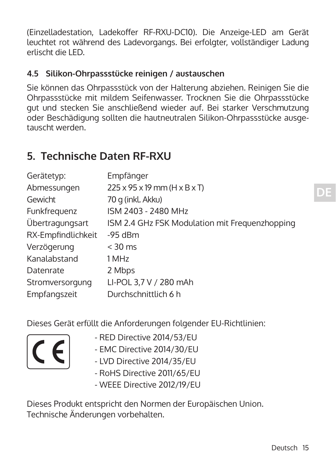(Einzelladestation, Ladekoffer RF-RXU-DC10). Die Anzeige-LED am Gerät leuchtet rot während des Ladevorgangs. Bei erfolgter, vollständiger Ladung erlischt die LED.

### **4.5 Silikon-Ohrpassstücke reinigen / austauschen**

Sie können das Ohrpassstück von der Halterung abziehen. Reinigen Sie die Ohrpassstücke mit mildem Seifenwasser. Trocknen Sie die Ohrpassstücke gut und stecken Sie anschließend wieder auf. Bei starker Verschmutzung oder Beschädigung sollten die hautneutralen Silikon-Ohrpassstücke ausgetauscht werden.

## **5. Technische Daten RF-RXU**

| Gerätetyp:         | Empfänger                                              |
|--------------------|--------------------------------------------------------|
| Abmessungen        | $225 \times 95 \times 19$ mm (H $\times$ B $\times$ T) |
| Gewicht            | 70 g (inkl. Akku)                                      |
| Funkfrequenz       | ISM 2403 - 2480 MHz                                    |
| Übertragungsart    | ISM 2.4 GHz FSK Modulation mit Frequenzhopping         |
| RX-Empfindlichkeit | $-95$ dBm                                              |
| Verzögerung        | $<$ 30 ms                                              |
| Kanalabstand       | 1 MHz                                                  |
| Datenrate          | 2 Mbps                                                 |
| Stromversorgung    | LI-POL 3,7 V / 280 mAh                                 |
| Empfangszeit       | Durchschnittlich 6 h                                   |
|                    |                                                        |

Dieses Gerät erfüllt die Anforderungen folgender EU-Richtlinien:

- RED Directive 2014/53/EU
- EMC Directive 2014/30/EU
- LVD Directive 2014/35/EU
- RoHS Directive 2011/65/EU
- WEEE Directive 2012/19/EU

Dieses Produkt entspricht den Normen der Europäischen Union. Technische Änderungen vorbehalten.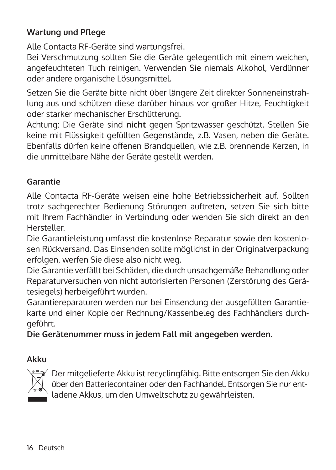### **Wartung und Pflege**

Alle Contacta RF-Geräte sind wartungsfrei.

Bei Verschmutzung sollten Sie die Geräte gelegentlich mit einem weichen, angefeuchteten Tuch reinigen. Verwenden Sie niemals Alkohol, Verdünner oder andere organische Lösungsmittel.

Setzen Sie die Geräte bitte nicht über längere Zeit direkter Sonneneinstrahlung aus und schützen diese darüber hinaus vor großer Hitze, Feuchtigkeit oder starker mechanischer Erschütterung.

Achtung: Die Geräte sind **nicht** gegen Spritzwasser geschützt. Stellen Sie keine mit Flüssigkeit gefüllten Gegenstände, z.B. Vasen, neben die Geräte. Ebenfalls dürfen keine offenen Brandquellen, wie z.B. brennende Kerzen, in die unmittelbare Nähe der Geräte gestellt werden.

#### **Garantie**

Alle Contacta RF-Geräte weisen eine hohe Betriebssicherheit auf. Sollten trotz sachgerechter Bedienung Störungen auftreten, setzen Sie sich bitte mit Ihrem Fachhändler in Verbindung oder wenden Sie sich direkt an den Hersteller.

Die Garantieleistung umfasst die kostenlose Reparatur sowie den kostenlosen Rückversand. Das Einsenden sollte möglichst in der Originalverpackung erfolgen, werfen Sie diese also nicht weg.

Die Garantie verfällt bei Schäden, die durch unsachgemäße Behandlung oder Reparaturversuchen von nicht autorisierten Personen (Zerstörung des Gerätesiegels) herbeigeführt wurden.

Garantiereparaturen werden nur bei Einsendung der ausgefüllten Garantiekarte und einer Kopie der Rechnung/Kassenbeleg des Fachhändlers durchgeführt.

**Die Gerätenummer muss in jedem Fall mit angegeben werden.**

#### **Akku**



Der mitgelieferte Akku ist recyclingfähig. Bitte entsorgen Sie den Akku über den Batteriecontainer oder den Fachhandel. Entsorgen Sie nur entladene Akkus, um den Umweltschutz zu gewährleisten.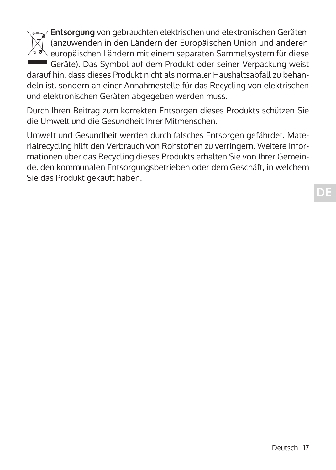**Entsorgung** von gebrauchten elektrischen und elektronischen Geräten (anzuwenden in den Ländern der Europäischen Union und anderen europäischen Ländern mit einem separaten Sammelsystem für diese

 Geräte). Das Symbol auf dem Produkt oder seiner Verpackung weist darauf hin, dass dieses Produkt nicht als normaler Haushaltsabfall zu behandeln ist, sondern an einer Annahmestelle für das Recycling von elektrischen und elektronischen Geräten abgegeben werden muss.

Durch Ihren Beitrag zum korrekten Entsorgen dieses Produkts schützen Sie die Umwelt und die Gesundheit Ihrer Mitmenschen.

Umwelt und Gesundheit werden durch falsches Entsorgen gefährdet. Materialrecycling hilft den Verbrauch von Rohstoffen zu verringern. Weitere Informationen über das Recycling dieses Produkts erhalten Sie von Ihrer Gemeinde, den kommunalen Entsorgungsbetrieben oder dem Geschäft, in welchem Sie das Produkt gekauft haben.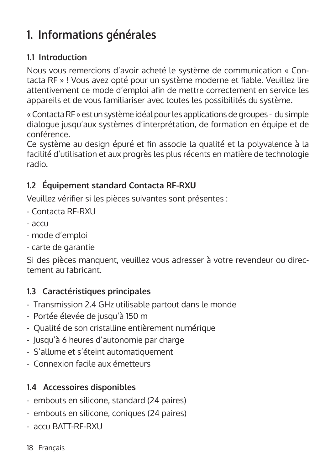# **1. Informations générales**

### **1.1 Introduction**

Nous vous remercions d'avoir acheté le système de communication « Contacta RF » ! Vous avez opté pour un système moderne et fiable. Veuillez lire attentivement ce mode d'emploi afin de mettre correctement en service les appareils et de vous familiariser avec toutes les possibilités du système.

« Contacta RF » est un système idéal pour les applications de groupes - du simple dialogue jusqu'aux systèmes d'interprétation, de formation en équipe et de conférence.

Ce système au design épuré et fin associe la qualité et la polyvalence à la facilité d'utilisation et aux progrès les plus récents en matière de technologie radio.

## **1.2 Équipement standard Contacta RF-RXU**

Veuillez vérifier si les pièces suivantes sont présentes :

- Contacta RF-RXU
- accu
- mode d'emploi
- carte de garantie

Si des pièces manquent, veuillez vous adresser à votre revendeur ou directement au fabricant.

## **1.3 Caractéristiques principales**

- Transmission 2.4 GHz utilisable partout dans le monde
- Portée élevée de jusqu'à 150 m
- Qualité de son cristalline entièrement numérique
- Jusqu'à 6 heures d'autonomie par charge
- S'allume et s'éteint automatiquement
- Connexion facile aux émetteurs

## **1.4 Accessoires disponibles**

- embouts en silicone, standard (24 paires)
- embouts en silicone, coniques (24 paires)
- accu BATT-RF-RXU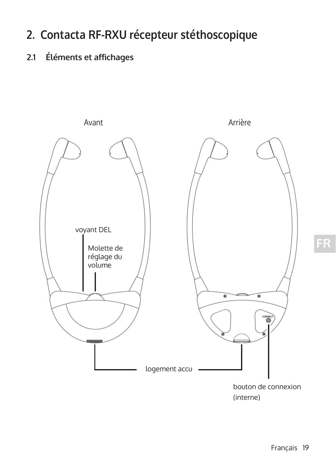# **2. Contacta RF-RXU récepteur stéthoscopique**

## **2.1 Éléments et affichages**

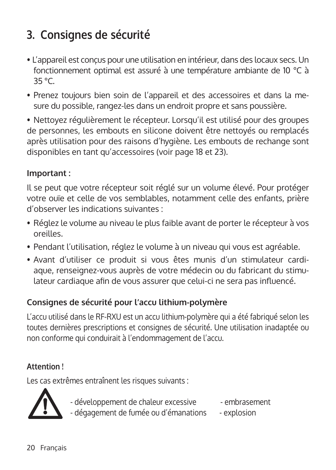# **3. Consignes de sécurité**

- L'appareil est conçus pour une utilisation en intérieur, dans des locaux secs. Un fonctionnement optimal est assuré à une température ambiante de 10 °C à 35 °C.
- Prenez toujours bien soin de l'appareil et des accessoires et dans la mesure du possible, rangez-les dans un endroit propre et sans poussière.

• Nettoyez régulièrement le récepteur. Lorsqu'il est utilisé pour des groupes de personnes, les embouts en silicone doivent être nettoyés ou remplacés après utilisation pour des raisons d'hygiène. Les embouts de rechange sont disponibles en tant qu'accessoires (voir page 18 et 23).

### **Important :**

Il se peut que votre récepteur soit réglé sur un volume élevé. Pour protéger votre ouïe et celle de vos semblables, notamment celle des enfants, prière d'observer les indications suivantes :

- Réglez le volume au niveau le plus faible avant de porter le récepteur à vos oreilles.
- Pendant l'utilisation, réglez le volume à un niveau qui vous est agréable.
- Avant d'utiliser ce produit si vous êtes munis d'un stimulateur cardiaque, renseignez-vous auprès de votre médecin ou du fabricant du stimu- lateur cardiaque afin de vous assurer que celui-ci ne sera pas influencé.

### **Consignes de sécurité pour l'accu lithium-polymère**

L'accu utilisé dans le RF-RXU est un accu lithium-polymère qui a été fabriqué selon les toutes dernières prescriptions et consignes de sécurité. Une utilisation inadaptée ou non conforme qui conduirait à l'endommagement de l'accu.

### **Attention !**

Les cas extrêmes entraînent les risques suivants :



- développement de chaleur excessive - embrasement - dégagement de fumée ou d'émanations - explosion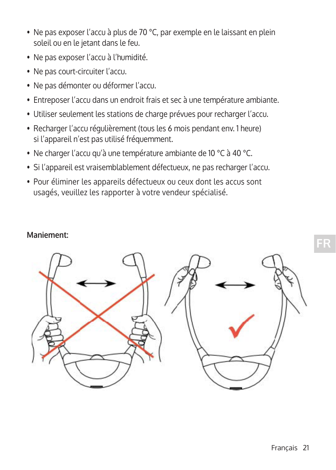- Ne pas exposer l'accu à plus de 70 °C, par exemple en le laissant en plein soleil ou en le jetant dans le feu.
- Ne pas exposer l'accu à l'humidité.
- Ne pas court-circuiter l'accu.
- Ne pas démonter ou déformer l'accu.
- Entreposer l'accu dans un endroit frais et sec à une température ambiante.
- Utiliser seulement les stations de charge prévues pour recharger l'accu.
- Recharger l'accu régulièrement (tous les 6 mois pendant env. 1 heure) si l'appareil n'est pas utilisé fréquemment.
- Ne charger l'accu qu'à une température ambiante de 10 °C à 40 °C.
- Si l'appareil est vraisemblablement défectueux, ne pas recharger l'accu.
- Pour éliminer les appareils défectueux ou ceux dont les accus sont usagés, veuillez les rapporter à votre vendeur spécialisé.

#### **Maniement:**

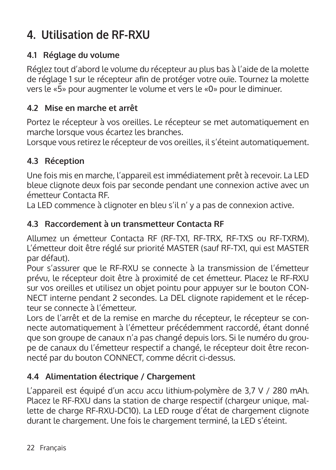# **4. Utilisation de RF-RXU**

## **4.1 Réglage du volume**

Réglez tout d'abord le volume du récepteur au plus bas à l'aide de la molette de réglage 1 sur le récepteur afin de protéger votre ouïe. Tournez la molette vers le «5» pour augmenter le volume et vers le «0» pour le diminuer.

### **4.2 Mise en marche et arrêt**

Portez le récepteur à vos oreilles. Le récepteur se met automatiquement en marche lorsque vous écartez les branches.

Lorsque vous retirez le récepteur de vos oreilles, il s'éteint automatiquement.

### **4.3 Réception**

Une fois mis en marche, l'appareil est immédiatement prêt à recevoir. La LED bleue clignote deux fois par seconde pendant une connexion active avec un émetteur Contacta RF.

La LED commence à clignoter en bleu s'il n' y a pas de connexion active.

### **4.3 Raccordement à un transmetteur Contacta RF**

Allumez un émetteur Contacta RF (RF-TX1, RF-TRX, RF-TXS ou RF-TXRM). L'émetteur doit être réglé sur priorité MASTER (sauf RF-TX1, qui est MASTER par défaut).

Pour s'assurer que le RF-RXU se connecte à la transmission de l'émetteur prévu, le récepteur doit être à proximité de cet émetteur. Placez le RF-RXU sur vos oreilles et utilisez un objet pointu pour appuyer sur le bouton CON-NECT interne pendant 2 secondes. La DEL clignote rapidement et le récepteur se connecte à l'émetteur.

Lors de l'arrêt et de la remise en marche du récepteur, le récepteur se connecte automatiquement à l'émetteur précédemment raccordé, étant donné que son groupe de canaux n'a pas changé depuis lors. Si le numéro du groupe de canaux du l'émetteur respectif a changé, le récepteur doit être reconnecté par du bouton CONNECT, comme décrit ci-dessus.

### **4.4 Alimentation électrique / Chargement**

L'appareil est équipé d'un accu accu lithium-polymère de 3,7 V / 280 mAh. Placez le RF-RXU dans la station de charge respectif (chargeur unique, mallette de charge RF-RXU-DC10). La LED rouge d'état de chargement clignote durant le chargement. Une fois le chargement terminé, la LED s'éteint.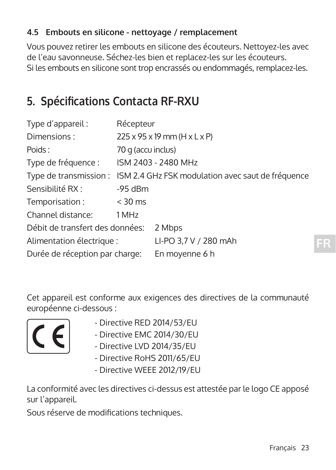### **4.5 Embouts en silicone - nettoyage / remplacement**

Vous pouvez retirer les embouts en silicone des écouteurs. Nettoyez-les avec de l'eau savonneuse. Séchez-les bien et replacez-les sur les écouteurs. Si les embouts en silicone sont trop encrassés ou endommagés, remplacez-les.

## **5. Spécifications Contacta RF-RXU**

| Type d'appareil:                | Récepteur          |                                                        |
|---------------------------------|--------------------|--------------------------------------------------------|
| Dimensions:                     |                    | $225 \times 95 \times 19$ mm (H $\times$ L $\times$ P) |
| Poids:                          | 70 g (accu inclus) |                                                        |
| Type de fréquence :             |                    | ISM 2403 - 2480 MHz                                    |
| Type de transmission :          |                    | ISM 2.4 GHz FSK modulation avec saut de fréquence      |
| Sensibilité RX :                | $-95$ dBm          |                                                        |
| Temporisation:                  | $<$ 30 ms          |                                                        |
| Channel distance:               | 1 MHz              |                                                        |
| Débit de transfert des données: |                    | 2 Mbps                                                 |
| Alimentation électrique :       |                    | LI-PO 3,7 V / 280 mAh                                  |
| Durée de réception par charge:  |                    | En moyenne 6 h                                         |

Cet appareil est conforme aux exigences des directives de la communauté européenne ci-dessous :



- 
- $\cdot$  Directive RED 2014/53/EU<br>Directive EMC 2014/30/EU - Directive EMC 2014/30/EU
	- Directive LVD 2014/35/EU
	- Directive RoHS 2011/65/EU
	- Directive WEEE 2012/19/EU

La conformité avec les directives ci-dessus est attestée par le logo CE apposé sur l'appareil.

Sous réserve de modifications techniques.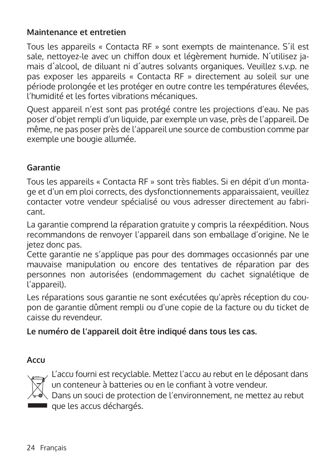#### **Maintenance et entretien**

Tous les appareils « Contacta RF » sont exempts de maintenance. S´il est sale, nettoyez-le avec un chiffon doux et légèrement humide. N'utilisez iamais d´alcool, de diluant ni d´autres solvants organiques. Veuillez s.v.p. ne pas exposer les appareils « Contacta RF » directement au soleil sur une période prolongée et les protéger en outre contre les températures élevées, l'humidité et les fortes vibrations mécaniques.

Quest appareil n'est sont pas protégé contre les projections d'eau. Ne pas poser d'objet rempli d'un liquide, par exemple un vase, près de l'appareil. De même, ne pas poser près de l'appareil une source de combustion comme par exemple une bougie allumée.

### **Garantie**

Tous les appareils « Contacta RF » sont très fiables. Si en dépit d'un montage et d'un em ploi corrects, des dysfonctionnements apparaissaient, veuillez contacter votre vendeur spécialisé ou vous adresser directement au fabricant.

La garantie comprend la réparation gratuite y compris la réexpédition. Nous recommandons de renvoyer l'appareil dans son emballage d'origine. Ne le jetez donc pas.

Cette garantie ne s'applique pas pour des dommages occasionnés par une mauvaise manipulation ou encore des tentatives de réparation par des personnes non autorisées (endommagement du cachet signalétique de l'appareil).

Les réparations sous garantie ne sont exécutées qu'après réception du coupon de garantie dûment rempli ou d'une copie de la facture ou du ticket de caisse du revendeur.

### **Le numéro de l'appareil doit être indiqué dans tous les cas.**

### **Accu**



L'accu fourni est recyclable. Mettez l'accu au rebut en le déposant dans un conteneur à batteries ou en le confiant à votre vendeur.

Dans un souci de protection de l'environnement, ne mettez au rebut que les accus déchargés.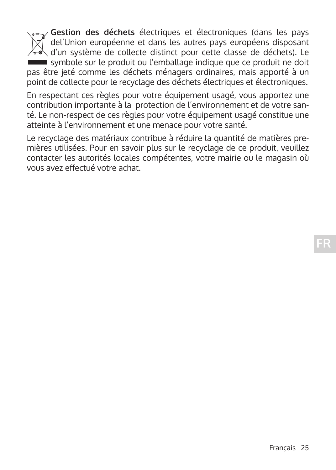**Gestion des déchets** électriques et électroniques (dans les pays  $|\overline{\chi}|$  del'Union européenne et dans les autres pays européens disposant  $\lambda$  d'un système de collecte distinct pour cette classe de déchets). Le symbole sur le produit ou l'emballage indique que ce produit ne doit pas être jeté comme les déchets ménagers ordinaires, mais apporté à un point de collecte pour le recyclage des déchets électriques et électroniques.

En respectant ces règles pour votre équipement usagé, vous apportez une contribution importante à la protection de l'environnement et de votre santé. Le non-respect de ces règles pour votre équipement usagé constitue une atteinte à l'environnement et une menace pour votre santé.

Le recyclage des matériaux contribue à réduire la quantité de matières premières utilisées. Pour en savoir plus sur le recyclage de ce produit, veuillez contacter les autorités locales compétentes, votre mairie ou le magasin où vous avez effectué votre achat.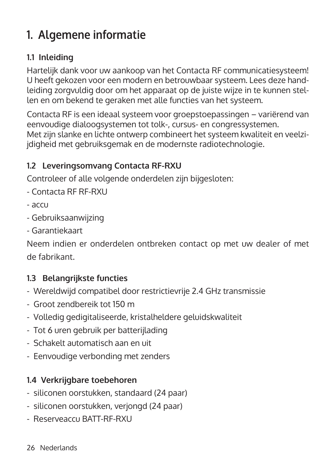# **1. Algemene informatie**

## **1.1 Inleiding**

Hartelijk dank voor uw aankoop van het Contacta RF communicatiesysteem! U heeft gekozen voor een modern en betrouwbaar systeem. Lees deze handleiding zorgvuldig door om het apparaat op de juiste wijze in te kunnen stellen en om bekend te geraken met alle functies van het systeem.

Contacta RF is een ideaal systeem voor groepstoepassingen – variërend van eenvoudige dialoogsystemen tot tolk-, cursus- en congressystemen. Met zijn slanke en lichte ontwerp combineert het systeem kwaliteit en veelzijdigheid met gebruiksgemak en de modernste radiotechnologie.

### **1.2 Leveringsomvang Contacta RF-RXU**

Controleer of alle volgende onderdelen zijn bijgesloten:

- Contacta RF RF-RXU
- accu
- Gebruiksaanwijzing
- Garantiekaart

Neem indien er onderdelen ontbreken contact op met uw dealer of met de fabrikant.

## **1.3 Belangrijkste functies**

- Wereldwijd compatibel door restrictievrije 2.4 GHz transmissie
- Groot zendbereik tot 150 m
- Volledig gedigitaliseerde, kristalheldere geluidskwaliteit
- Tot 6 uren gebruik per batterijlading
- Schakelt automatisch aan en uit
- Eenvoudige verbonding met zenders

### **1.4 Verkrijgbare toebehoren**

- siliconen oorstukken, standaard (24 paar)
- siliconen oorstukken, verjongd (24 paar)
- Reserveaccu BATT-RF-RXU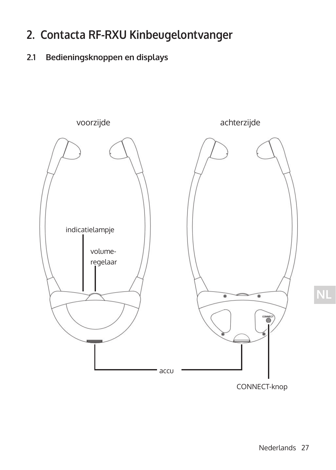## **2. Contacta RF-RXU Kinbeugelontvanger**

## **2.1 Bedieningsknoppen en displays**



CONNECT-knop

**NL**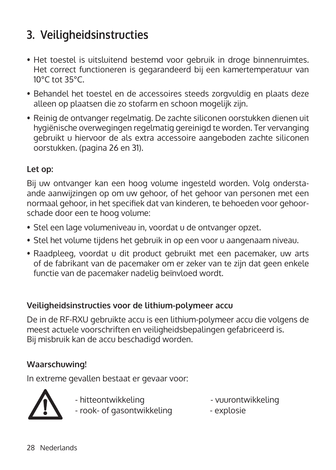# **3. Veiligheidsinstructies**

- Het toestel is uitsluitend bestemd voor gebruik in droge binnenruimtes. Het correct functioneren is gegarandeerd bij een kamertemperatuur van 10°C tot 35°C.
- Behandel het toestel en de accessoires steeds zorgvuldig en plaats deze alleen op plaatsen die zo stofarm en schoon mogelijk zijn.
- Reinig de ontvanger regelmatig. De zachte siliconen oorstukken dienen uit hygiënische overwegingen regelmatig gereinigd te worden. Ter vervanging gebruikt u hiervoor de als extra accessoire aangeboden zachte siliconen oorstukken. (pagina 26 en 31).

### **Let op:**

Bij uw ontvanger kan een hoog volume ingesteld worden. Volg onderstaande aanwijzingen op om uw gehoor, of het gehoor van personen met een normaal gehoor, in het specifiek dat van kinderen, te behoeden voor gehoorschade door een te hoog volume:

- Stel een lage volumeniveau in, voordat u de ontvanger opzet.
- Stel het volume tijdens het gebruik in op een voor u aangenaam niveau.
- Raadpleeg, voordat u dit product gebruikt met een pacemaker, uw arts of de fabrikant van de pacemaker om er zeker van te zijn dat geen enkele functie van de pacemaker nadelig beïnvloed wordt.

### **Veiligheidsinstructies voor de lithium-polymeer accu**

De in de RF-RXU gebruikte accu is een lithium-polymeer accu die volgens de meest actuele voorschriften en veiligheidsbepalingen gefabriceerd is. Bij misbruik kan de accu beschadigd worden.

## **Waarschuwing!**

In extreme gevallen bestaat er gevaar voor:



- hitteontwikkeling - vuurontwikkeling - rook- of gasontwikkeling - explosie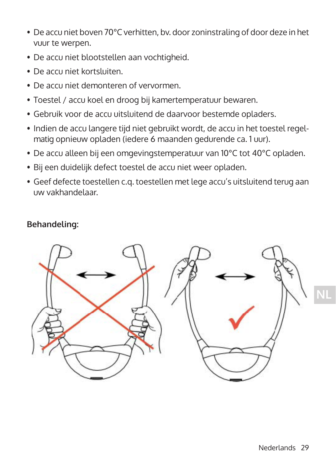- De accu niet boven 70°C verhitten, by. door zoninstraling of door deze in het vuur te werpen.
- De accu niet blootstellen aan vochtigheid.
- De accu niet kortsluiten.
- De accu niet demonteren of vervormen
- Toestel / accu koel en droog bij kamertemperatuur bewaren.
- Gebruik voor de accu uitsluitend de daarvoor bestemde opladers.
- Indien de accu langere tijd niet gebruikt wordt, de accu in het toestel regelmatig opnieuw opladen (iedere 6 maanden gedurende ca. 1 uur).
- De accu alleen bij een omgevingstemperatuur van 10°C tot 40°C opladen.
- Bij een duidelijk defect toestel de accu niet weer opladen.
- Geef defecte toestellen c.q. toestellen met lege accu's uitsluitend terug aan uw vakhandelaar.

### **Behandeling:**

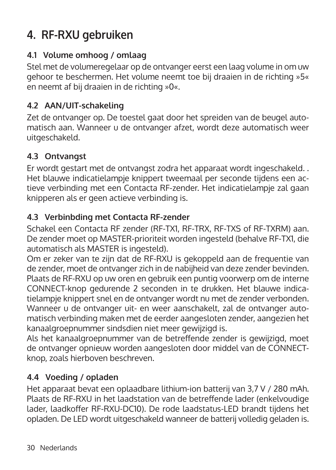# **4. RF-RXU gebruiken**

### **4.1 Volume omhoog / omlaag**

Stel met de volumeregelaar op de ontvanger eerst een laag volume in om uw gehoor te beschermen. Het volume neemt toe bij draaien in de richting »5« en neemt af bij draaien in de richting »0«.

### **4.2 AAN/UIT-schakeling**

Zet de ontvanger op. De toestel gaat door het spreiden van de beugel automatisch aan. Wanneer u de ontvanger afzet, wordt deze automatisch weer uitgeschakeld.

### **4.3 Ontvangst**

Er wordt gestart met de ontvangst zodra het apparaat wordt ingeschakeld. . Het blauwe indicatielampje knippert tweemaal per seconde tijdens een actieve verbinding met een Contacta RF-zender. Het indicatielampje zal gaan knipperen als er geen actieve verbinding is.

## **4.3 Verbinbding met Contacta RF-zender**

Schakel een Contacta RF zender (RF-TX1, RF-TRX, RF-TXS of RF-TXRM) aan. De zender moet op MASTER-prioriteit worden ingesteld (behalve RF-TX1, die automatisch als MASTER is ingesteld).

Om er zeker van te zijn dat de RF-RXU is gekoppeld aan de frequentie van de zender, moet de ontvanger zich in de nabijheid van deze zender bevinden. Plaats de RF-RXU op uw oren en gebruik een puntig voorwerp om de interne CONNECT-knop gedurende 2 seconden in te drukken. Het blauwe indicatielampje knippert snel en de ontvanger wordt nu met de zender verbonden. Wanneer u de ontvanger uit- en weer aanschakelt, zal de ontvanger automatisch verbinding maken met de eerder aangesloten zender, aangezien het kanaalgroepnummer sindsdien niet meer gewijzigd is.

Als het kanaalgroepnummer van de betreffende zender is gewijzigd, moet de ontvanger opnieuw worden aangesloten door middel van de CONNECTknop, zoals hierboven beschreven.

## **4.4 Voeding / opladen**

Het apparaat bevat een oplaadbare lithium-ion batterij van 3,7 V / 280 mAh. Plaats de RF-RXU in het laadstation van de betreffende lader (enkelvoudige lader, laadkoffer RF-RXU-DC10). De rode laadstatus-LED brandt tijdens het opladen. De LED wordt uitgeschakeld wanneer de batterij volledig geladen is.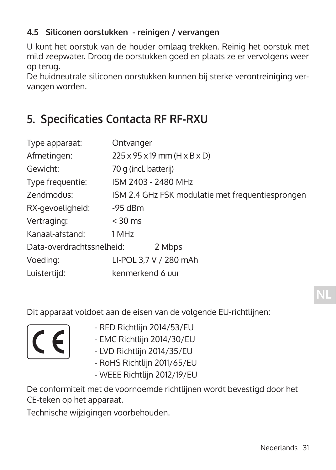### **4.5 Siliconen oorstukken - reinigen / vervangen**

U kunt het oorstuk van de houder omlaag trekken. Reinig het oorstuk met mild zeepwater. Droog de oorstukken goed en plaats ze er vervolgens weer op terug.

De huidneutrale siliconen oorstukken kunnen bij sterke verontreiniging vervangen worden.

## **5. Specificaties Contacta RF RF-RXU**

| Type apparaat:                      | Ontvanger                                              |
|-------------------------------------|--------------------------------------------------------|
| Afmetingen:                         | $225 \times 95 \times 19$ mm (H $\times$ B $\times$ D) |
| Gewicht:                            | 70 g (incl. batterij)                                  |
| Type frequentie:                    | ISM 2403 - 2480 MHz                                    |
| Zendmodus:                          | ISM 2.4 GHz FSK modulatie met frequentiesprongen       |
| RX-gevoeligheid:                    | $-95$ dBm                                              |
| Vertraging:                         | $<$ 30 ms                                              |
| Kanaal-afstand:                     | 1 MHz                                                  |
| Data-overdrachtssnelheid:<br>2 Mbps |                                                        |
| Voeding:                            | LI-POL 3,7 V / 280 mAh                                 |
| Luistertijd:                        | kenmerkend 6 uur                                       |

Dit apparaat voldoet aan de eisen van de volgende EU-richtlijnen:



- RED Richtlijn 2014/53/EU
- EMC Richtlijn 2014/30/EU
	- LVD Richtlijn 2014/35/EU
	- RoHS Richtlijn 2011/65/EU
	- WEEE Richtlijn 2012/19/EU

De conformiteit met de voornoemde richtlijnen wordt bevestigd door het CE-teken op het apparaat.

Technische wijzigingen voorbehouden.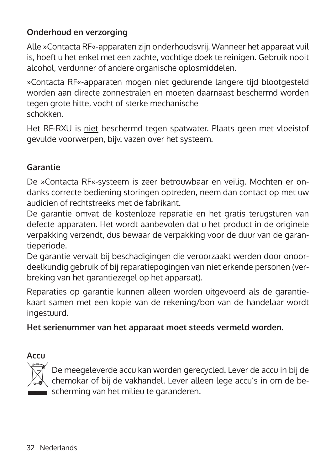## **Onderhoud en verzorging**

Alle »Contacta RF«-apparaten zijn onderhoudsvrij. Wanneer het apparaat vuil is, hoeft u het enkel met een zachte, vochtige doek te reinigen. Gebruik nooit alcohol, verdunner of andere organische oplosmiddelen.

»Contacta RF«-apparaten mogen niet gedurende langere tijd blootgesteld worden aan directe zonnestralen en moeten daarnaast beschermd worden tegen grote hitte, vocht of sterke mechanische schokken.

Het RF-RXU is niet beschermd tegen spatwater. Plaats geen met vloeistof gevulde voorwerpen, bijv. vazen over het systeem.

### **Garantie**

De »Contacta RF«-systeem is zeer betrouwbaar en veilig. Mochten er ondanks correcte bediening storingen optreden, neem dan contact op met uw audicien of rechtstreeks met de fabrikant.

De garantie omvat de kostenloze reparatie en het gratis terugsturen van defecte apparaten. Het wordt aanbevolen dat u het product in de originele verpakking verzendt, dus bewaar de verpakking voor de duur van de garantieperiode.

De garantie vervalt bij beschadigingen die veroorzaakt werden door onoordeelkundig gebruik of bij reparatiepogingen van niet erkende personen (verbreking van het garantiezegel op het apparaat).

Reparaties op garantie kunnen alleen worden uitgevoerd als de garantiekaart samen met een kopie van de rekening/bon van de handelaar wordt ingestuurd.

**Het serienummer van het apparaat moet steeds vermeld worden.** 

**Accu**



De meegeleverde accu kan worden gerecycled. Lever de accu in bij de  $\Im$  chemokar of bij de vakhandel. Lever alleen lege accu's in om de bescherming van het milieu te garanderen.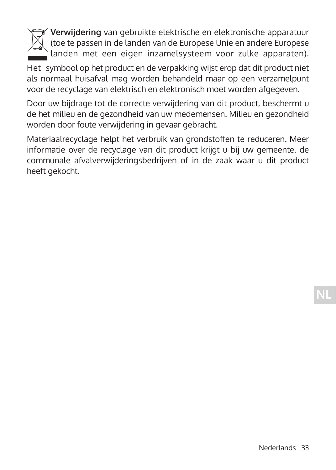

 **Verwijdering** van gebruikte elektrische en elektronische apparatuur  $\Diamond$  (toe te passen in de landen van de Europese Unie en andere Europese landen met een eigen inzamelsysteem voor zulke apparaten).

Het symbool op het product en de verpakking wijst erop dat dit product niet als normaal huisafval mag worden behandeld maar op een verzamelpunt voor de recyclage van elektrisch en elektronisch moet worden afgegeven.

Door uw bijdrage tot de correcte verwijdering van dit product, beschermt u de het milieu en de gezondheid van uw medemensen. Milieu en gezondheid worden door foute verwijdering in gevaar gebracht.

Materiaalrecyclage helpt het verbruik van grondstoffen te reduceren. Meer informatie over de recyclage van dit product krijgt u bij uw gemeente, de communale afvalverwijderingsbedrijven of in de zaak waar u dit product heeft gekocht.

**NL**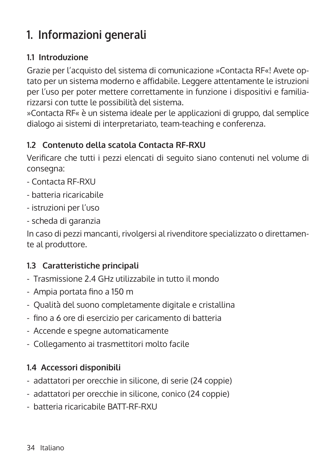# **1. Informazioni generali**

### **1.1 Introduzione**

Grazie per l'acquisto del sistema di comunicazione »Contacta RF«! Avete optato per un sistema moderno e affidabile. Leggere attentamente le istruzioni per l'uso per poter mettere correttamente in funzione i dispositivi e familiarizzarsi con tutte le possibilità del sistema.

»Contacta RF« è un sistema ideale per le applicazioni di gruppo, dal semplice dialogo ai sistemi di interpretariato, team-teaching e conferenza.

### **1.2 Contenuto della scatola Contacta RF-RXU**

Verificare che tutti i pezzi elencati di seguito siano contenuti nel volume di consegna:

- Contacta RF-RXU
- batteria ricaricabile
- istruzioni per l'uso
- scheda di garanzia

In caso di pezzi mancanti, rivolgersi al rivenditore specializzato o direttamente al produttore.

### **1.3 Caratteristiche principali**

- Trasmissione 2.4 GHz utilizzabile in tutto il mondo
- Ampia portata fino a 150 m
- Qualità del suono completamente digitale e cristallina
- fino a 6 ore di esercizio per caricamento di batteria
- Accende e spegne automaticamente
- Collegamento ai trasmettitori molto facile

### **1.4 Accessori disponibili**

- adattatori per orecchie in silicone, di serie (24 coppie)
- adattatori per orecchie in silicone, conico (24 coppie)
- batteria ricaricabile BATT-RF-RXU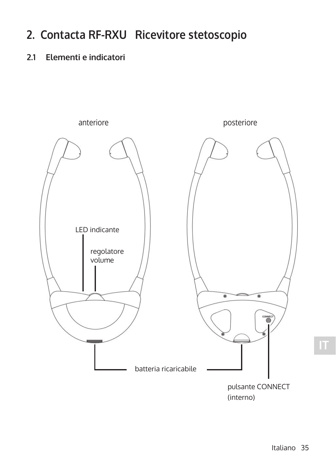# **2. Contacta RF-RXU Ricevitore stetoscopio**

### **2.1 Elementi e indicatori**

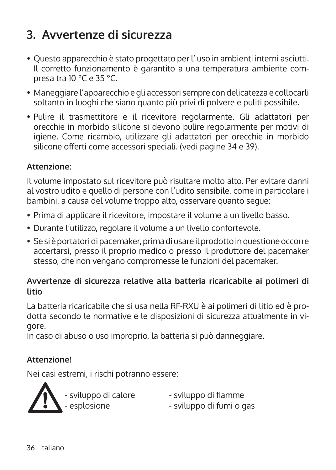# **3. Avvertenze di sicurezza**

- Ouesto apparecchio è stato progettato per l'uso in ambienti interni asciutti. Il corretto funzionamento è garantito a una temperatura ambiente com- presa tra 10 °C e 35 °C.
- Maneggiare l'apparecchio e gli accessori sempre con delicatezza e collocarli soltanto in luoghi che siano quanto più privi di polvere e puliti possibile.
- Pulire il trasmettitore e il ricevitore regolarmente. Gli adattatori per orecchie in morbido silicone si devono pulire regolarmente per motivi di igiene. Come ricambio, utilizzare gli adattatori per orecchie in morbido silicone offerti come accessori speciali. (vedi pagine 34 e 39).

### **Attenzione:**

Il volume impostato sul ricevitore può risultare molto alto. Per evitare danni al vostro udito e quello di persone con l'udito sensibile, come in particolare i bambini, a causa del volume troppo alto, osservare quanto segue:

- Prima di applicare il ricevitore, impostare il volume a un livello basso.
- Durante l'utilizzo, regolare il volume a un livello confortevole.
- Se si è portatori di pacemaker, prima di usare il prodotto in questione occorre accertarsi, presso il proprio medico o presso il produttore del pacemaker stesso, che non vengano compromesse le funzioni del pacemaker.

### **Avvertenze di sicurezza relative alla batteria ricaricabile ai polimeri di litio**

La batteria ricaricabile che si usa nella RF-RXU è ai polimeri di litio ed è prodotta secondo le normative e le disposizioni di sicurezza attualmente in vigore.

In caso di abuso o uso improprio, la batteria si può danneggiare.

### **Attenzione!**

Nei casi estremi, i rischi potranno essere:



- sviluppo di calore - sviluppo di fiamme<br>- esplosione - sviluppo di fumi o c

- 
- sviluppo di fumi o gas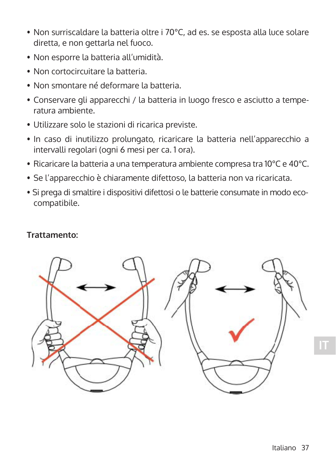- Non surriscaldare la batteria oltre i 70°C, ad es. se esposta alla luce solare diretta, e non gettarla nel fuoco.
- Non esporre la batteria all'umidità.
- Non cortocircuitare la batteria.
- Non smontare né deformare la batteria.
- Conservare gli apparecchi / la batteria in luogo fresco e asciutto a temperatura ambiente.
- Utilizzare solo le stazioni di ricarica previste.
- In caso di inutilizzo prolungato, ricaricare la batteria nell'apparecchio a intervalli regolari (ogni 6 mesi per ca. 1 ora).
- Ricaricare la batteria a una temperatura ambiente compresa tra 10°C e 40°C.
- Se l'apparecchio è chiaramente difettoso, la batteria non va ricaricata.
- Si prega di smaltire i dispositivi difettosi o le batterie consumate in modo ecocompatibile.

#### **Trattamento:**

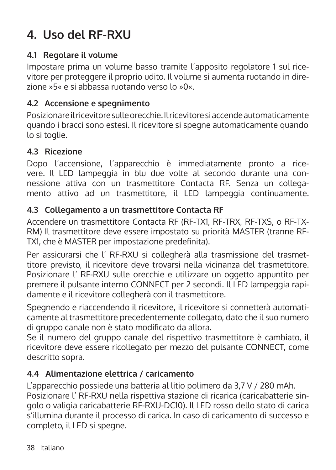# **4. Uso del RF-RXU**

### **4.1 Regolare il volume**

Impostare prima un volume basso tramite l'apposito regolatore 1 sul ricevitore per proteggere il proprio udito. Il volume si aumenta ruotando in direzione »5« e si abbassa ruotando verso lo »0«.

### **4.2 Accensione e spegnimento**

Posizionare il ricevitore sulle orecchie. Il ricevitore si accende automaticamente quando i bracci sono estesi. Il ricevitore si spegne automaticamente quando lo si toglie.

### **4.3 Ricezione**

Dopo l'accensione, l'apparecchio è immediatamente pronto a ricevere. Il LED lampeggia in blu due volte al secondo durante una connessione attiva con un trasmettitore Contacta RF. Senza un collegamento attivo ad un trasmettitore, il LED lampeggia continuamente.

### **4.3 Collegamento a un trasmettitore Contacta RF**

Accendere un trasmettitore Contacta RF (RF-TX1, RF-TRX, RF-TXS, o RF-TX-RM) Il trasmettitore deve essere impostato su priorità MASTER (tranne RF-TX1, che è MASTER per impostazione predefinita).

Per assicurarsi che l' RF-RXU si collegherà alla trasmissione del trasmettitore previsto, il ricevitore deve trovarsi nella vicinanza del trasmettitore. Posizionare l' RF-RXU sulle orecchie e utilizzare un oggetto appuntito per premere il pulsante interno CONNECT per 2 secondi. Il LED lampeggia rapidamente e il ricevitore collegherà con il trasmettitore.

Spegnendo e riaccendendo il ricevitore, il ricevitore si connetterà automaticamente al trasmettitore precedentemente collegato, dato che il suo numero di gruppo canale non è stato modificato da allora.

Se il numero del gruppo canale del rispettivo trasmettitore è cambiato, il ricevitore deve essere ricollegato per mezzo del pulsante CONNECT, come descritto sopra.

### **4.4 Alimentazione elettrica / caricamento**

L'apparecchio possiede una batteria al litio polimero da 3,7 V / 280 mAh. Posizionare l' RF-RXU nella rispettiva stazione di ricarica (caricabatterie singolo o valigia caricabatterie RF-RXU-DC10). Il LED rosso dello stato di carica s'illumina durante il processo di carica. In caso di caricamento di successo e completo, il LED si spegne.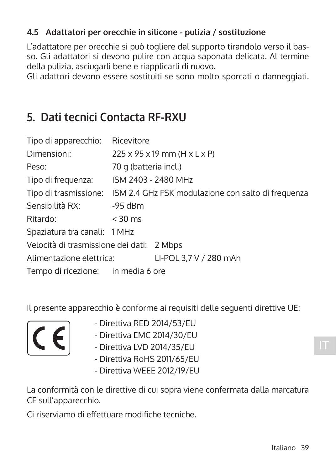### **4.5 Adattatori per orecchie in silicone - pulizia / sostituzione**

L'adattatore per orecchie si può togliere dal supporto tirandolo verso il basso. Gli adattatori si devono pulire con acqua saponata delicata. Al termine della pulizia, asciugarli bene e riapplicarli di nuovo.

Gli adattori devono essere sostituiti se sono molto sporcati o danneggiati.

## **5. Dati tecnici Contacta RF-RXU**

| Tipo di apparecchio: Ricevitore           |                                                                          |
|-------------------------------------------|--------------------------------------------------------------------------|
| Dimensioni:                               | $225 \times 95 \times 19$ mm (H $\times$ L $\times$ P)                   |
| Peso:                                     | 70 g (batteria incl.)                                                    |
| Tipo di frequenza:                        | ISM 2403 - 2480 MHz                                                      |
|                                           | Tipo di trasmissione: ISM 2.4 GHz FSK modulazione con salto di frequenza |
| Sensibilità RX:                           | $-95$ dBm                                                                |
| Ritardo:                                  | $<$ 30 ms                                                                |
| Spaziatura tra canali: 1 MHz              |                                                                          |
| Velocità di trasmissione dei dati: 2 Mbps |                                                                          |
| Alimentazione elettrica:                  | LI-POL 3,7 V / 280 mAh                                                   |
| Tempo di ricezione: in media 6 ore        |                                                                          |

Il presente apparecchio è conforme ai requisiti delle seguenti direttive UE:



- 
- Direttiva EMC 2014/30/EU
- Direttiva LVD 2014/35/EU
- Direttiva RoHS 2011/65/EU
- Direttiva WEEE 2012/19/EU

La conformità con le direttive di cui sopra viene confermata dalla marcatura CE sull'apparecchio.

Ci riserviamo di effettuare modifiche tecniche.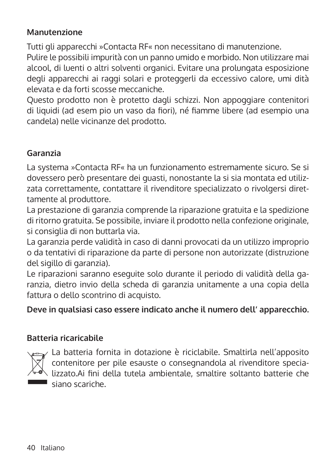### **Manutenzione**

Tutti gli apparecchi »Contacta RF« non necessitano di manutenzione.

Pulire le possibili impurità con un panno umido e morbido. Non utilizzare mai alcool, di luenti o altri solventi organici. Evitare una prolungata esposizione degli apparecchi ai raggi solari e proteggerli da eccessivo calore, umi dità elevata e da forti scosse meccaniche.

Questo prodotto non è protetto dagli schizzi. Non appoggiare contenitori di liquidi (ad esem pio un vaso da fiori), né fiamme libere (ad esempio una candela) nelle vicinanze del prodotto.

### **Garanzia**

La systema »Contacta RF« ha un funzionamento estremamente sicuro. Se si dovessero però presentare dei guasti, nonostante la si sia montata ed utilizzata correttamente, contattare il rivenditore specializzato o rivolgersi direttamente al produttore.

La prestazione di garanzia comprende la riparazione gratuita e la spedizione di ritorno gratuita. Se possibile, inviare il prodotto nella confezione originale, si consiglia di non buttarla via.

La garanzia perde validità in caso di danni provocati da un utilizzo improprio o da tentativi di riparazione da parte di persone non autorizzate (distruzione del sigillo di garanzia).

Le riparazioni saranno eseguite solo durante il periodo di validità della garanzia, dietro invio della scheda di garanzia unitamente a una copia della fattura o dello scontrino di acquisto.

### **Deve in qualsiasi caso essere indicato anche il numero dell' apparecchio.**

#### **Batteria ricaricabile**



La batteria fornita in dotazione è riciclabile. Smaltirla nell'apposito contenitore per pile esauste o consegnandola al rivenditore specia- lizzato.Ai fini della tutela ambientale, smaltire soltanto batterie che siano scariche.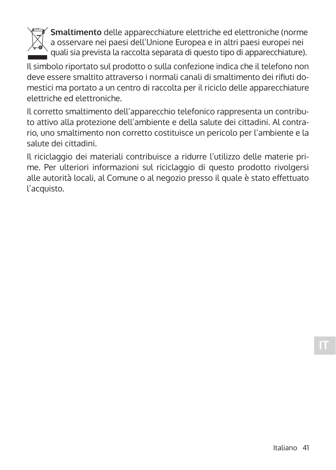

 **Smaltimento** delle apparecchiature elettriche ed elettroniche (norme a osservare nei paesi dell'Unione Europea e in altri paesi europei nei quali sia prevista la raccolta separata di questo tipo di apparecchiature).

Il simbolo riportato sul prodotto o sulla confezione indica che il telefono non deve essere smaltito attraverso i normali canali di smaltimento dei rifiuti domestici ma portato a un centro di raccolta per il riciclo delle apparecchiature elettriche ed elettroniche.

Il corretto smaltimento dell'apparecchio telefonico rappresenta un contributo attivo alla protezione dell'ambiente e della salute dei cittadini. Al contrario, uno smaltimento non corretto costituisce un pericolo per l'ambiente e la salute dei cittadini.

Il riciclaggio dei materiali contribuisce a ridurre l'utilizzo delle materie prime. Per ulteriori informazioni sul riciclaggio di questo prodotto rivolgersi alle autorità locali, al Comune o al negozio presso il quale è stato effettuato l'acquisto.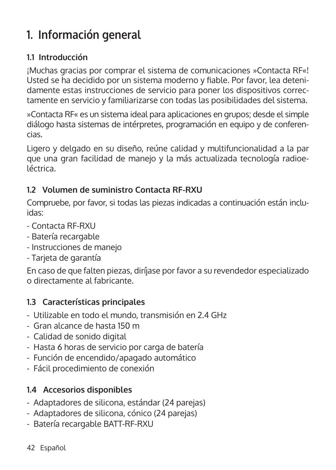# **1. Información general**

### **1.1 Introducción**

¡Muchas gracias por comprar el sistema de comunicaciones »Contacta RF«! Usted se ha decidido por un sistema moderno y fiable. Por favor, lea detenidamente estas instrucciones de servicio para poner los dispositivos correctamente en servicio y familiarizarse con todas las posibilidades del sistema.

»Contacta RF« es un sistema ideal para aplicaciones en grupos; desde el simple diálogo hasta sistemas de intérpretes, programación en equipo y de conferencias.

Ligero y delgado en su diseño, reúne calidad y multifuncionalidad a la par que una gran facilidad de manejo y la más actualizada tecnología radioeléctrica.

### **1.2 Volumen de suministro Contacta RF-RXU**

Compruebe, por favor, si todas las piezas indicadas a continuación están incluidas:

- Contacta RF-RXU
- Batería recargable
- Instrucciones de manejo
- Tarjeta de garantía

En caso de que falten piezas, diríjase por favor a su revendedor especializado o directamente al fabricante.

### **1.3 Características principales**

- Utilizable en todo el mundo, transmisión en 2.4 GHz
- Gran alcance de hasta 150 m
- Calidad de sonido digital
- Hasta 6 horas de servicio por carga de batería
- Función de encendido/apagado automático
- Fácil procedimiento de conexión

### **1.4 Accesorios disponibles**

- Adaptadores de silicona, estándar (24 parejas)
- Adaptadores de silicona, cónico (24 parejas)
- Batería recargable BATT-RF-RXU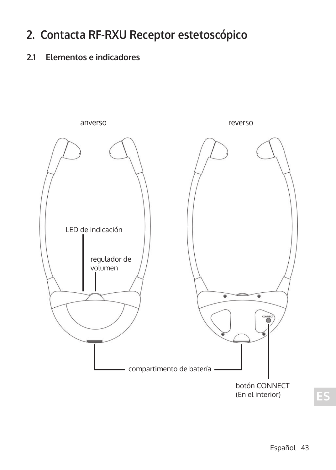## **2. Contacta RF-RXU Receptor estetoscópico**

## **2.1 Elementos e indicadores**

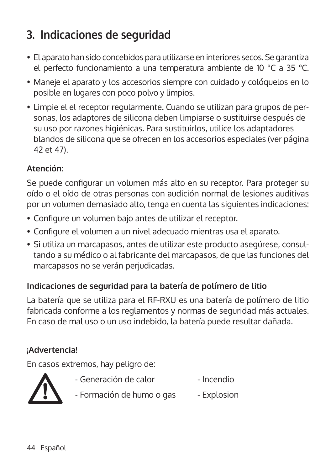# **3. Indicaciones de seguridad**

- El aparato han sido concebidos para utilizarse en interiores secos. Se garantiza el perfecto funcionamiento a una temperatura ambiente de 10 °C a 35 °C.
- Maneje el aparato y los accesorios siempre con cuidado y colóquelos en lo posible en lugares con poco polvo y limpios.
- Limpie el el receptor regularmente. Cuando se utilizan para grupos de personas, los adaptores de silicona deben limpiarse o sustituirse después de su uso por razones higiénicas. Para sustituirlos, utilice los adaptadores blandos de silicona que se ofrecen en los accesorios especiales (ver página 42 et 47).

### **Atención:**

Se puede configurar un volumen más alto en su receptor. Para proteger su oído o el oído de otras personas con audición normal de lesiones auditivas por un volumen demasiado alto, tenga en cuenta las siguientes indicaciones:

- Configure un volumen bajo antes de utilizar el receptor.
- Configure el volumen a un nivel adecuado mientras usa el aparato.
- Si utiliza un marcapasos, antes de utilizar este producto asegúrese, consultando a su médico o al fabricante del marcapasos, de que las funciones del marcapasos no se verán perjudicadas.

### **Indicaciones de seguridad para la batería de polímero de litio**

La batería que se utiliza para el RF-RXU es una batería de polímero de litio fabricada conforme a los reglamentos y normas de seguridad más actuales. En caso de mal uso o un uso indebido, la batería puede resultar dañada.

### **¡Advertencia!**

En casos extremos, hay peligro de:



- Generación de calor Incendio
- Formación de humo o gas Explosion
- 44 Español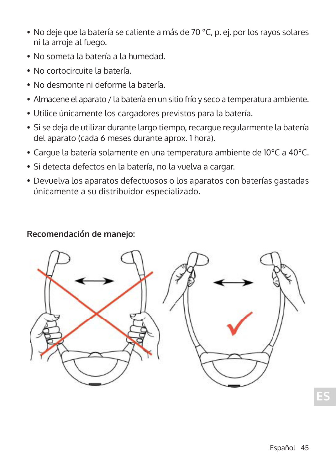- No deje que la batería se caliente a más de 70 °C, p. ej. por los rayos solares ni la arroje al fuego.
- No someta la batería a la humedad.
- No cortocircuite la batería.
- No desmonte ni deforme la batería.
- Almacene el aparato / la batería en un sitio frío y seco a temperatura ambiente.
- Utilice únicamente los cargadores previstos para la batería.
- Si se deja de utilizar durante largo tiempo, recargue regularmente la batería del aparato (cada 6 meses durante aprox. 1 hora).
- Cargue la batería solamente en una temperatura ambiente de 10°C a 40°C.
- Si detecta defectos en la batería, no la vuelva a cargar.
- Devuelva los aparatos defectuosos o los aparatos con baterías gastadas únicamente a su distribuidor especializado.

### **Recomendación de manejo:**

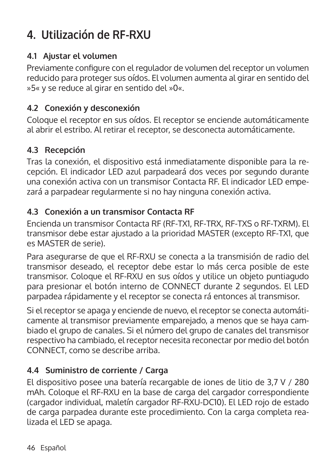# **4. Utilización de RF-RXU**

### **4.1 Ajustar el volumen**

Previamente configure con el regulador de volumen del receptor un volumen reducido para proteger sus oídos. El volumen aumenta al girar en sentido del »5« y se reduce al girar en sentido del »0«.

### **4.2 Conexión y desconexión**

Coloque el receptor en sus oídos. El receptor se enciende automáticamente al abrir el estribo. Al retirar el receptor, se desconecta automáticamente.

### **4.3 Recepción**

Tras la conexión, el dispositivo está inmediatamente disponible para la recepción. El indicador LED azul parpadeará dos veces por segundo durante una conexión activa con un transmisor Contacta RF. El indicador LED empezará a parpadear regularmente si no hay ninguna conexión activa.

### **4.3 Conexión a un transmisor Contacta RF**

Encienda un transmisor Contacta RF (RF-TX1, RF-TRX, RF-TXS o RF-TXRM). El transmisor debe estar ajustado a la prioridad MASTER (excepto RF-TX1, que es MASTER de serie).

Para asegurarse de que el RF-RXU se conecta a la transmisión de radio del transmisor deseado, el receptor debe estar lo más cerca posible de este transmisor. Coloque el RF-RXU en sus oídos y utilice un objeto puntiagudo para presionar el botón interno de CONNECT durante 2 segundos. El LED parpadea rápidamente y el receptor se conecta rá entonces al transmisor.

Si el receptor se apaga y enciende de nuevo, el receptor se conecta automáticamente al transmisor previamente emparejado, a menos que se haya cambiado el grupo de canales. Si el número del grupo de canales del transmisor respectivo ha cambiado, el receptor necesita reconectar por medio del botón CONNECT, como se describe arriba.

### **4.4 Suministro de corriente / Carga**

El dispositivo posee una batería recargable de iones de litio de 3,7 V / 280 mAh. Coloque el RF-RXU en la base de carga del cargador correspondiente (cargador individual, maletín cargador RF-RXU-DC10). El LED rojo de estado de carga parpadea durante este procedimiento. Con la carga completa realizada el LED se apaga.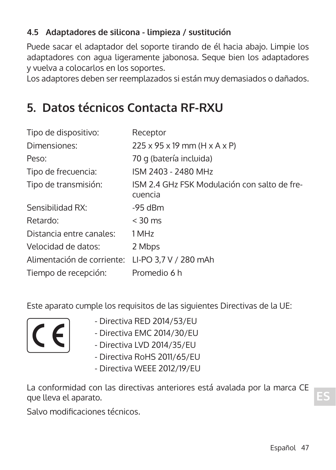## **4.5 Adaptadores de silicona - limpieza / sustitución**

Puede sacar el adaptador del soporte tirando de él hacia abajo. Limpie los adaptadores con agua ligeramente jabonosa. Seque bien los adaptadores y vuelva a colocarlos en los soportes.

Los adaptores deben ser reemplazados si están muy demasiados o dañados.

## **5. Datos técnicos Contacta RF-RXU**

| Tipo de dispositivo:       | Receptor                                                |
|----------------------------|---------------------------------------------------------|
| Dimensiones:               | $225 \times 95 \times 19$ mm (H $\times$ A $\times$ P)  |
| Peso:                      | 70 g (batería incluida)                                 |
| Tipo de frecuencia:        | ISM 2403 - 2480 MHz                                     |
| Tipo de transmisión:       | ISM 2.4 GHz FSK Modulación con salto de fre-<br>cuencia |
| Sensibilidad RX:           | $-95$ dBm                                               |
| Retardo:                   | $<$ 30 ms                                               |
| Distancia entre canales:   | 1 MHz                                                   |
| Velocidad de datos:        | 2 Mbps                                                  |
| Alimentación de corriente: | LI-PO 3,7 V / 280 mAh                                   |
| Tiempo de recepción:       | Promedio 6 h                                            |

Este aparato cumple los requisitos de las siguientes Directivas de la UE:



- 
- Directiva EMC 2014/30/EU
- Directiva LVD 2014/35/EU
- Directiva RoHS 2011/65/EU
- Directiva WEEE 2012/19/EU

La conformidad con las directivas anteriores está avalada por la marca CE que lleva el aparato.

Salvo modificaciones técnicos.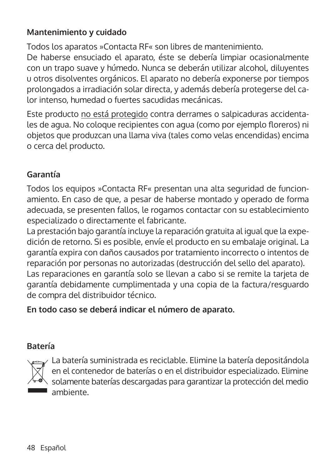### **Mantenimiento y cuidado**

Todos los aparatos »Contacta RF« son libres de mantenimiento.

De haberse ensuciado el aparato, éste se debería limpiar ocasionalmente con un trapo suave y húmedo. Nunca se deberán utilizar alcohol, diluyentes u otros disolventes orgánicos. El aparato no debería exponerse por tiempos prolongados a irradiación solar directa, y además debería protegerse del calor intenso, humedad o fuertes sacudidas mecánicas.

Este producto no está protegido contra derrames o salpicaduras accidentales de agua. No coloque recipientes con agua (como por ejemplo floreros) ni objetos que produzcan una llama viva (tales como velas encendidas) encima o cerca del producto.

### **Garantía**

Todos los equipos »Contacta RF« presentan una alta seguridad de funcionamiento. En caso de que, a pesar de haberse montado y operado de forma adecuada, se presenten fallos, le rogamos contactar con su establecimiento especializado o directamente el fabricante.

La prestación bajo garantía incluye la reparación gratuita al igual que la expedición de retorno. Si es posible, envíe el producto en su embalaje original. La garantía expira con daños causados por tratamiento incorrecto o intentos de reparación por personas no autorizadas (destrucción del sello del aparato). Las reparaciones en garantía solo se llevan a cabo si se remite la tarjeta de garantía debidamente cumplimentada y una copia de la factura/resguardo de compra del distribuidor técnico.

### **En todo caso se deberá indicar el número de aparato.**

### **Batería**



La batería suministrada es reciclable. Elimine la batería depositándola  $|\chi|$  en el contenedor de baterías o en el distribuidor especializado. Elimine  $\nearrow$  solamente baterías descargadas para garantizar la protección del medio ambiente.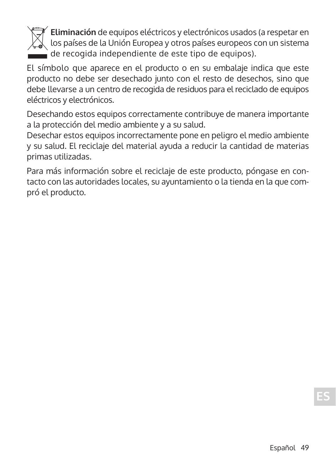

 **Eliminación** de equipos eléctricos y electrónicos usados (a respetar en los países de la Unión Europea y otros países europeos con un sistema de recogida independiente de este tipo de equipos).

El símbolo que aparece en el producto o en su embalaje indica que este producto no debe ser desechado junto con el resto de desechos, sino que debe llevarse a un centro de recogida de residuos para el reciclado de equipos eléctricos y electrónicos.

Desechando estos equipos correctamente contribuye de manera importante a la protección del medio ambiente y a su salud.

Desechar estos equipos incorrectamente pone en peligro el medio ambiente y su salud. El reciclaje del material ayuda a reducir la cantidad de materias primas utilizadas.

Para más información sobre el reciclaje de este producto, póngase en contacto con las autoridades locales, su ayuntamiento o la tienda en la que compró el producto.